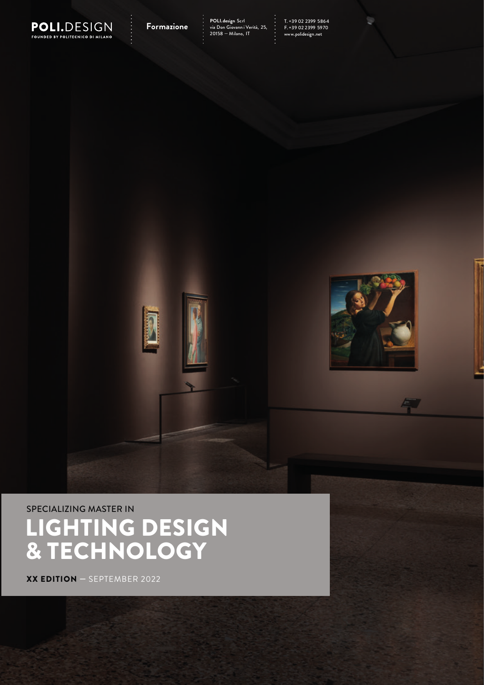

# SPECIALIZING MASTER IN LIGHTING DESIGN & TECHNOLOGY

XX EDITION — SEPTEMBER 2022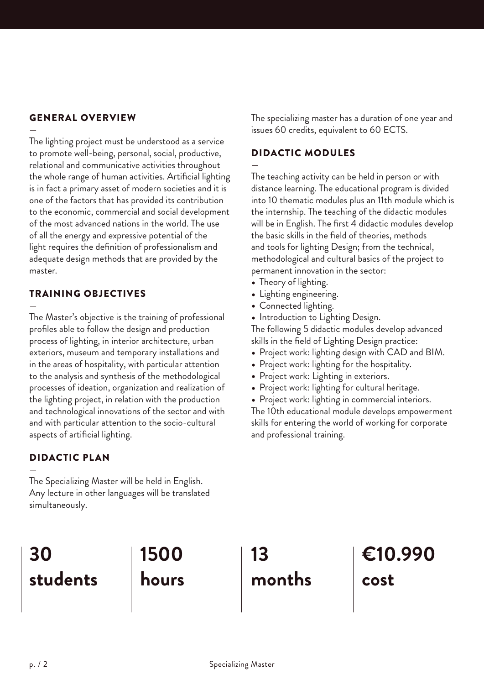### GENERAL OVERVIEW

— The lighting project must be understood as a service to promote well-being, personal, social, productive, relational and communicative activities throughout the whole range of human activities. Artificial lighting is in fact a primary asset of modern societies and it is one of the factors that has provided its contribution to the economic, commercial and social development of the most advanced nations in the world. The use of all the energy and expressive potential of the light requires the definition of professionalism and adequate design methods that are provided by the master.

#### TRAINING OBJECTIVES

—

The Master's objective is the training of professional profiles able to follow the design and production process of lighting, in interior architecture, urban exteriors, museum and temporary installations and in the areas of hospitality, with particular attention to the analysis and synthesis of the methodological processes of ideation, organization and realization of the lighting project, in relation with the production and technological innovations of the sector and with and with particular attention to the socio-cultural aspects of artificial lighting.

#### DIDACTIC PLAN

— The Specializing Master will be held in English. Any lecture in other languages will be translated simultaneously.

The specializing master has a duration of one year and issues 60 credits, equivalent to 60 ECTS.

#### DIDACTIC MODULES

— The teaching activity can be held in person or with distance learning. The educational program is divided into 10 thematic modules plus an 11th module which is the internship. The teaching of the didactic modules will be in English. The first 4 didactic modules develop the basic skills in the field of theories, methods and tools for lighting Design; from the technical, methodological and cultural basics of the project to permanent innovation in the sector:

- Theory of lighting.
- Lighting engineering.
- Connected lighting.
- Introduction to Lighting Design.

The following 5 didactic modules develop advanced skills in the field of Lighting Design practice:

- Project work: lighting design with CAD and BIM.
- Project work: lighting for the hospitality.
- Project work: Lighting in exteriors.
- Project work: lighting for cultural heritage.
- Project work: lighting in commercial interiors.

The 10th educational module develops empowerment skills for entering the world of working for corporate and professional training.

#### **30 students 1500 hours 13 months €10.990 cost**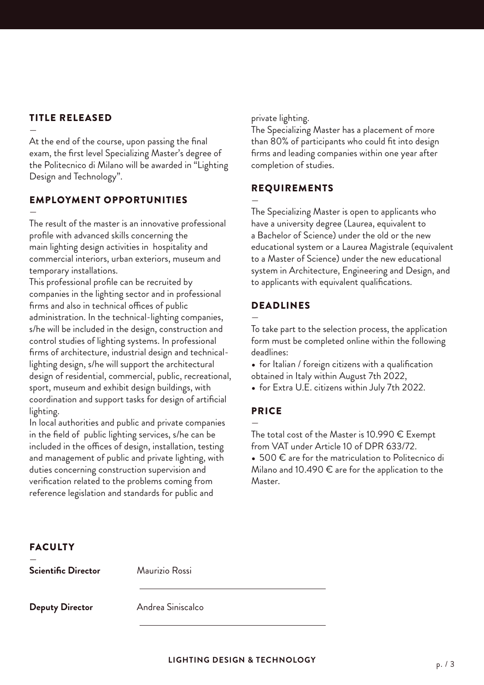## TITLE RELEASED

— At the end of the course, upon passing the final exam, the first level Specializing Master's degree of the Politecnico di Milano will be awarded in "Lighting Design and Technology".

## EMPLOYMENT OPPORTUNITIES

— The result of the master is an innovative professional profile with advanced skills concerning the main lighting design activities in hospitality and commercial interiors, urban exteriors, museum and temporary installations.

This professional profile can be recruited by companies in the lighting sector and in professional firms and also in technical offices of public administration. In the technical-lighting companies, s/he will be included in the design, construction and control studies of lighting systems. In professional firms of architecture, industrial design and technicallighting design, s/he will support the architectural design of residential, commercial, public, recreational, sport, museum and exhibit design buildings, with coordination and support tasks for design of artificial lighting.

In local authorities and public and private companies in the field of public lighting services, s/he can be included in the offices of design, installation, testing and management of public and private lighting, with duties concerning construction supervision and verification related to the problems coming from reference legislation and standards for public and

private lighting.

The Specializing Master has a placement of more than 80% of participants who could fit into design firms and leading companies within one year after completion of studies.

#### REQUIREMENTS

— The Specializing Master is open to applicants who have a university degree (Laurea, equivalent to a Bachelor of Science) under the old or the new educational system or a Laurea Magistrale (equivalent to a Master of Science) under the new educational system in Architecture, Engineering and Design, and to applicants with equivalent qualifications.

## DEADLINES

— To take part to the selection process, the application form must be completed online within the following deadlines:

• for Italian / foreign citizens with a qualification obtained in Italy within August 7th 2022,

• for Extra U.E. citizens within July 7th 2022.

#### PRICE

— The total cost of the Master is 10.990  $\epsilon$  Exempt from VAT under Article 10 of DPR 633/72.

• 500 € are for the matriculation to Politecnico di Milano and 10.490  $\epsilon$  are for the application to the Master.

| <b>FACULTY</b>         |                   |
|------------------------|-------------------|
| Scientific Director    | Maurizio Rossi    |
| <b>Deputy Director</b> | Andrea Siniscalco |